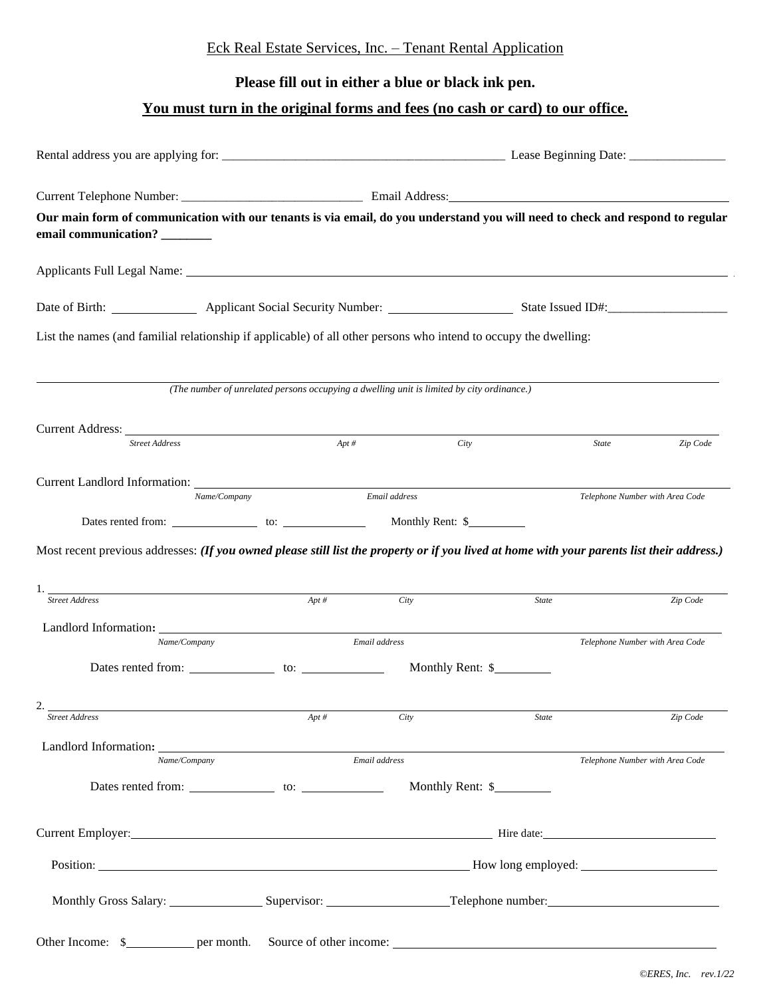## Eck Real Estate Services, Inc. – Tenant Rental Application

## **Please fill out in either a blue or black ink pen.**

## **You must turn in the original forms and fees (no cash or card) to our office.**

| Our main form of communication with our tenants is via email, do you understand you will need to check and respond to regular<br>email communication? _______                                                                  |                                                                                           |               |                  |                                 |          |
|--------------------------------------------------------------------------------------------------------------------------------------------------------------------------------------------------------------------------------|-------------------------------------------------------------------------------------------|---------------|------------------|---------------------------------|----------|
| Applicants Full Legal Name: 1988. [19] Applicants Full Legal Name: 1988. [19] Applicants Full Legal Name: 1988. [19] Applicants Full Legal Name: 1988. [19] Applicants Full Legal Name: 1988. [19] Applicants Full Legal Name: |                                                                                           |               |                  |                                 |          |
| Date of Birth: <u>Applicant Social Security Number: State Issued ID#: State Issued ID#:</u>                                                                                                                                    |                                                                                           |               |                  |                                 |          |
| List the names (and familial relationship if applicable) of all other persons who intend to occupy the dwelling:                                                                                                               |                                                                                           |               |                  |                                 |          |
|                                                                                                                                                                                                                                | (The number of unrelated persons occupying a dwelling unit is limited by city ordinance.) |               |                  |                                 |          |
| Current Address: No. 1996. The Contract of the Contract of the Contract of the Contract of the Contract of the Contract of the Contract of the Contract of the Contract of the Contract of the Contract of the Contract of the |                                                                                           |               |                  |                                 |          |
| <b>Street Address</b>                                                                                                                                                                                                          | Apt #                                                                                     |               | City             | State                           | Zip Code |
|                                                                                                                                                                                                                                | Name/Company                                                                              | Email address |                  | Telephone Number with Area Code |          |
|                                                                                                                                                                                                                                |                                                                                           |               |                  |                                 |          |
| Most recent previous addresses: (If you owned please still list the property or if you lived at home with your parents list their address.)<br><b>Street Address</b>                                                           | $Apt \, #$                                                                                | City          | State            |                                 | Zip Code |
| Name/Company                                                                                                                                                                                                                   |                                                                                           | Email address |                  | Telephone Number with Area Code |          |
|                                                                                                                                                                                                                                |                                                                                           |               |                  |                                 |          |
| 2<br><b>Street Address</b>                                                                                                                                                                                                     | $Apt \, #$                                                                                | City          | <b>State</b>     |                                 | Zip Code |
| Name/Company                                                                                                                                                                                                                   |                                                                                           | Email address |                  | Telephone Number with Area Code |          |
|                                                                                                                                                                                                                                |                                                                                           |               | Monthly Rent: \$ |                                 |          |
|                                                                                                                                                                                                                                |                                                                                           |               |                  |                                 |          |
|                                                                                                                                                                                                                                |                                                                                           |               |                  |                                 |          |
| Monthly Gross Salary: Supervisor: Supervisor: Telephone number: Supervisor: New York 1991                                                                                                                                      |                                                                                           |               |                  |                                 |          |
| Other Income: \$                                                                                                                                                                                                               |                                                                                           |               |                  |                                 |          |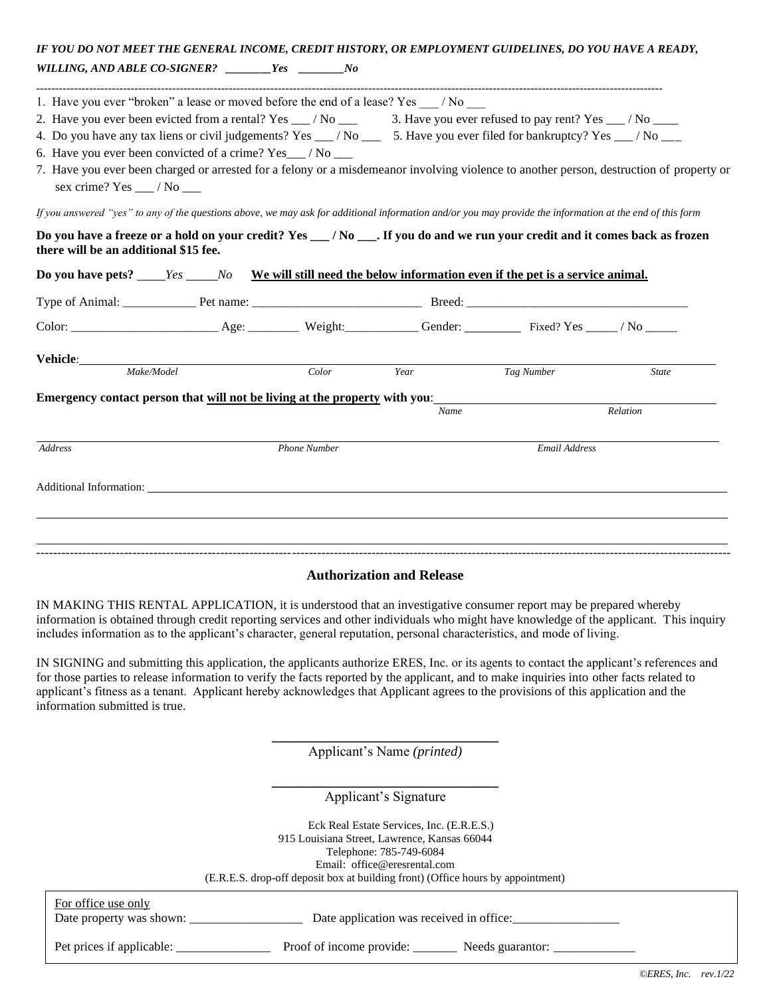| IF YOU DO NOT MEET THE GENERAL INCOME, CREDIT HISTORY, OR EMPLOYMENT GUIDELINES, DO YOU HAVE A READY,                                                                             |                     |               |            |              |
|-----------------------------------------------------------------------------------------------------------------------------------------------------------------------------------|---------------------|---------------|------------|--------------|
| WILLING, AND ABLE CO-SIGNER? ________Yes __________No                                                                                                                             |                     |               |            |              |
| 1. Have you ever "broken" a lease or moved before the end of a lease? Yes / No                                                                                                    |                     |               |            |              |
| 2. Have you ever been evicted from a rental? Yes $\_\_\/$ No $\_\_\_\$ 3. Have you ever refused to pay rent? Yes $\_\_\/$ No $\_\_\_\_\$                                          |                     |               |            |              |
| 4. Do you have any tax liens or civil judgements? Yes __/No __ 5. Have you ever filed for bankruptcy? Yes __/No __                                                                |                     |               |            |              |
| 6. Have you ever been convicted of a crime? Yes_/No __                                                                                                                            |                     |               |            |              |
| 7. Have you ever been charged or arrested for a felony or a misdemeanor involving violence to another person, destruction of property or<br>sex crime? Yes $\_\_\$ / No $\_\_\_\$ |                     |               |            |              |
| If you answered "yes" to any of the questions above, we may ask for additional information and/or you may provide the information at the end of this form                         |                     |               |            |              |
| Do you have a freeze or a hold on your credit? Yes _/No __. If you do and we run your credit and it comes back as frozen<br>there will be an additional \$15 fee.                 |                     |               |            |              |
|                                                                                                                                                                                   |                     |               |            |              |
|                                                                                                                                                                                   |                     |               |            |              |
|                                                                                                                                                                                   |                     |               |            |              |
| Vehicle: <u>www.community.com</u>                                                                                                                                                 |                     |               |            |              |
| Make/Model                                                                                                                                                                        | Color               | Year          | Tag Number | <b>State</b> |
| Emergency contact person that will not be living at the property with you:                                                                                                        |                     |               |            |              |
|                                                                                                                                                                                   |                     | Name          |            | Relation     |
| <b>Address</b>                                                                                                                                                                    | <b>Phone Number</b> | Email Address |            |              |

#### **Authorization and Release**

----------------------------------------------------------------------------------------------------------------------------------------------------------------------

Additional Information:

IN MAKING THIS RENTAL APPLICATION, it is understood that an investigative consumer report may be prepared whereby information is obtained through credit reporting services and other individuals who might have knowledge of the applicant. This inquiry includes information as to the applicant's character, general reputation, personal characteristics, and mode of living.

IN SIGNING and submitting this application, the applicants authorize ERES, Inc. or its agents to contact the applicant's references and for those parties to release information to verify the facts reported by the applicant, and to make inquiries into other facts related to applicant's fitness as a tenant. Applicant hereby acknowledges that Applicant agrees to the provisions of this application and the information submitted is true.

> \_\_\_\_\_\_\_\_\_\_\_\_\_\_\_\_\_\_\_\_\_\_\_\_\_\_\_\_\_\_\_\_\_\_\_\_ Applicant's Name *(printed)*

> \_\_\_\_\_\_\_\_\_\_\_\_\_\_\_\_\_\_\_\_\_\_\_\_\_\_\_\_\_\_\_\_\_\_\_\_ Applicant's Signature

Eck Real Estate Services, Inc. (E.R.E.S.) 915 Louisiana Street, Lawrence, Kansas 66044 Telephone: 785-749-6084 Email: office@eresrental.com (E.R.E.S. drop-off deposit box at building front) (Office hours by appointment)

| (E.R.E.S. drop-off deposit box at building front) (Office hours by appointment) |                                              |  |  |  |
|---------------------------------------------------------------------------------|----------------------------------------------|--|--|--|
| For office use only<br>Date property was shown:                                 | Date application was received in office:     |  |  |  |
| Pet prices if applicable:                                                       | Proof of income provide:<br>Needs guarantor: |  |  |  |

֦

֦